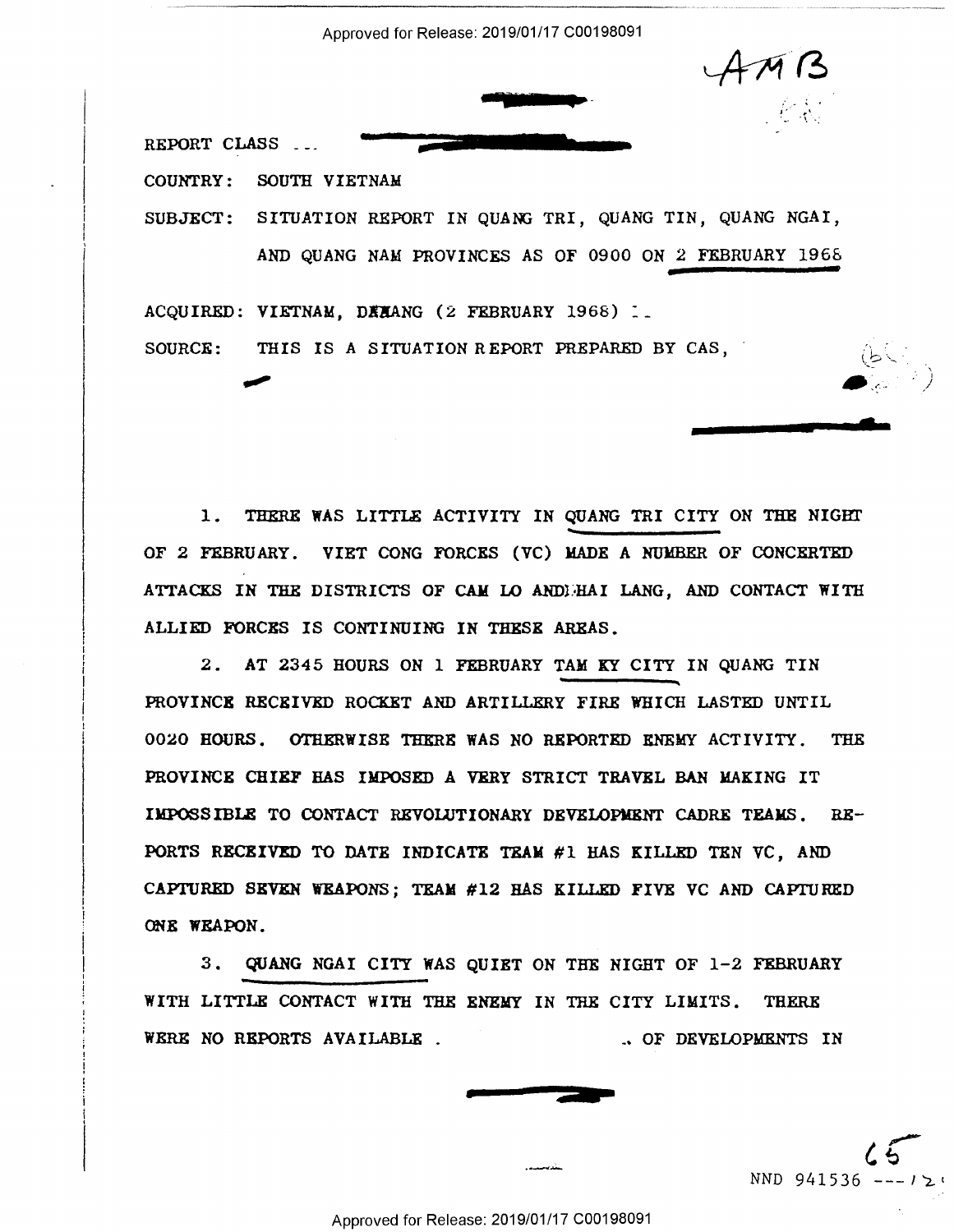Approved for Release: 2019/01/17 C00198091

<u>i di Santang Pangunang Pangunang Pangunang Pangunang Pangunang Pangunang Pangunang Pangunang Pangunang Panguna</u>

"-

• **<sup>4</sup>**,· ~ ~ . J' ,..,  $\mathcal{F}_{\mathcal{F}}$ 

 $\sim$ 

. The contraction of the contraction of the contraction of  $\bullet$  and  $\bullet$   $\bullet$  . The contraction of  $\bullet$ 

'——":I

Inna an III-lea an Aonaichte agus an t-Iad an III-lea

REPORT CLASS ...

COUNTRY: SOUTH VIETNAM COUNTRY: SOUTH VIETNAM

SUBJECT: SITUATION REPORT IN QUANG TRI, QUANG TIN, QUANG NGAI, AND QUANG NAM PROVINCES AS OF 0900 ON *2* FEBRUARY 1968 AND QUANG NAM PROVINCES AS OF 0900 ON 2 FEBRUARY 1968

ACQUIRED: **VIETNAM, D!XANG** (2 FEBRUARY 1968) :\_ ACQUIRED: VIETNAM, BEHANG (2 FEBRUARY 1968) 1. SOURCE: THIS IS A SITUATION REPORT PREPARED BY CAS,  $\bigcap_{i=1}^n$ \_,

1. THERE WAS LITTLE ACTIVITY IN QUANG TRI CITY ON THE NIGHT OF 2 FEBRUARY. VIET CONG FORCES (VC) MADE A NUlmER OF CONCERTED OF 2 FEBRUARY. VIET CONG FORCES (VC) MADE A NUMBER OF CONCERTED ATTACKS IN THE DISTRICTS OF CAM LO ANDDHAI LANG, AND CONTACT WITH ALLIED FORCES IS CONTINUING IN THESE AREAS. ALLIED FORCES IS CONTINUING IN THESE AREAS.

*2.* AT 2345 HOURS ON 1 FEBRUARY TAM KY CITY IN QUANG TIN 2. AT 2345 HOURS ON 1 FEBRUARY TAM KY CITY IN QUANG TIN PROVINCE RECEIVED ROCKET AND ARTILLERY FIRE WHICH LASTED UNTIL PROVINCE RECEIVED ROCKET AND ARTILLERY FIRE WHICH LASTED UNTIL 0020 HOURS. OTHERWISE THERE WAS NO REPORTED ENEMY ACTIVITY. THE PROVINCE CHIEF HAS IMPOSED A VERY STRICT TRAVEL BAN MAKING IT IMPOSSIBLE TO CONTACT REVOLUTIONARY DEVELOPMXNT CADRE TEAMS. RE-IMPOSSIBLE TO CONTACT REVOLUTIONARY DEVELOPHENT CADRE TEAMS. RE-PORTS RECEIVED TO DATE INDICATE TEAM #1 HAS KILLED TEN VC, AND CAPTURED SEVEN WEAPONS; TEAM #12 HAS KILLED FIVE VC AND CAP11JRED CAPTURED SEVEN WEAPONS; TEAM #12 HAS KILLED FIVE VC AND CAPTURED ONE **WEAPON.**  (REE WEAPON. Approved for Recent Content Content Content Content Content Content Content Content Content Content Content Content Content Content Content Content Content Content Content Content Content Content Content Content Content Co ———\_.'

3. QUANG NGAI CITY WAS QUIET ON THE NIGHT OF 1-2 FEBRUARY 3. QUANG NGAI CITY WAS QUIET ON THE NIGHT OF 1-2 FEBRUARY WITH LITTLE CONTACT WITH THE ENEMY IN THE CITY LIMITS. THERE WERE NO REPORTS AVAILABLE .  $\sim$  of developments in .. OP DEVELOPMENTS IN



 $\sqrt{5}$ NND 941536  $---12$ **for the contract of the contract of the contract of the contract of the contract of the contract of the contract of the contract of the contract of the contract of the contract of the contract of the contract of the contr**  $65$